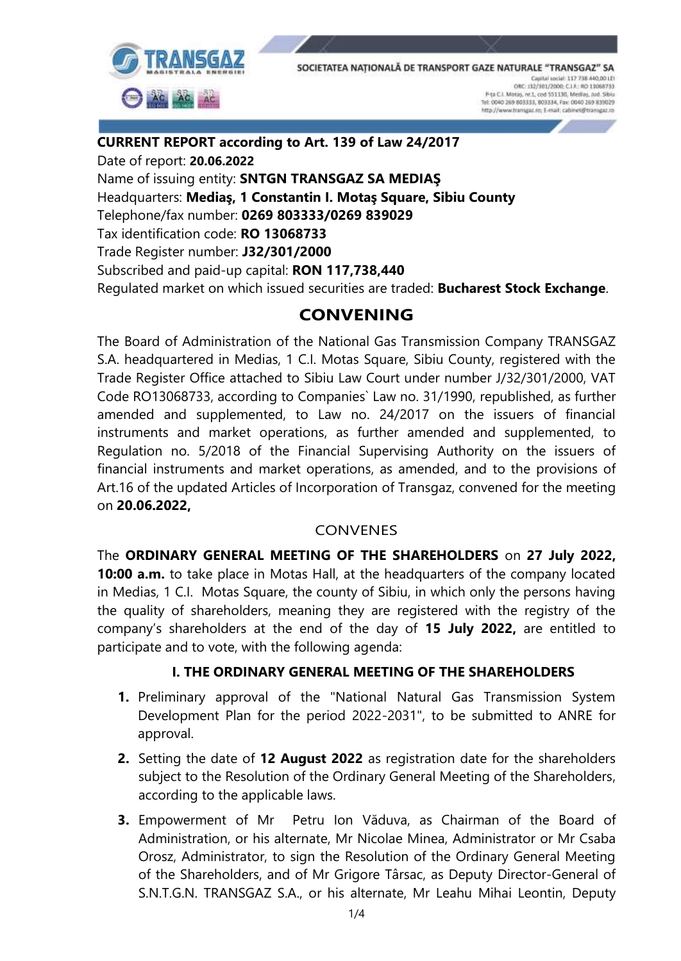

**CURRENT REPORT according to Art. 139 of Law 24/2017** Date of report: **20.06.2022** Name of issuing entity: **SNTGN TRANSGAZ SA MEDIAŞ** Headquarters: **Mediaş, 1 Constantin I. Motaş Square, Sibiu County** Telephone/fax number: **0269 803333/0269 839029** Tax identification code: **RO 13068733** Trade Register number: **J32/301/2000** Subscribed and paid-up capital: **RON 117,738,440**  Regulated market on which issued securities are traded: **Bucharest Stock Exchange**.

## **CONVENING**

The Board of Administration of the National Gas Transmission Company TRANSGAZ S.A. headquartered in Medias, 1 C.I. Motas Square, Sibiu County, registered with the Trade Register Office attached to Sibiu Law Court under number J/32/301/2000, VAT Code RO13068733, according to Companies` Law no. 31/1990, republished, as further amended and supplemented, to Law no. 24/2017 on the issuers of financial instruments and market operations, as further amended and supplemented, to Regulation no. 5/2018 of the Financial Supervising Authority on the issuers of financial instruments and market operations, as amended, and to the provisions of Art.16 of the updated Articles of Incorporation of Transgaz, convened for the meeting on **20.06.2022,** 

## CONVENES

The **ORDINARY GENERAL MEETING OF THE SHAREHOLDERS** on **27 July 2022, 10:00 a.m.** to take place in Motas Hall, at the headquarters of the company located in Medias, 1 C.I. Motas Square, the county of Sibiu, in which only the persons having the quality of shareholders, meaning they are registered with the registry of the company's shareholders at the end of the day of **15 July 2022,** are entitled to participate and to vote, with the following agenda:

## **I. THE ORDINARY GENERAL MEETING OF THE SHAREHOLDERS**

- **1.** Preliminary approval of the "National Natural Gas Transmission System Development Plan for the period 2022-2031", to be submitted to ANRE for approval.
- **2.** Setting the date of **12 August 2022** as registration date for the shareholders subject to the Resolution of the Ordinary General Meeting of the Shareholders, according to the applicable laws.
- **3.** Empowerment of Mr Petru Ion Văduva, as Chairman of the Board of Administration, or his alternate, Mr Nicolae Minea, Administrator or Mr Csaba Orosz, Administrator, to sign the Resolution of the Ordinary General Meeting of the Shareholders, and of Mr Grigore Târsac, as Deputy Director-General of S.N.T.G.N. TRANSGAZ S.A., or his alternate, Mr Leahu Mihai Leontin, Deputy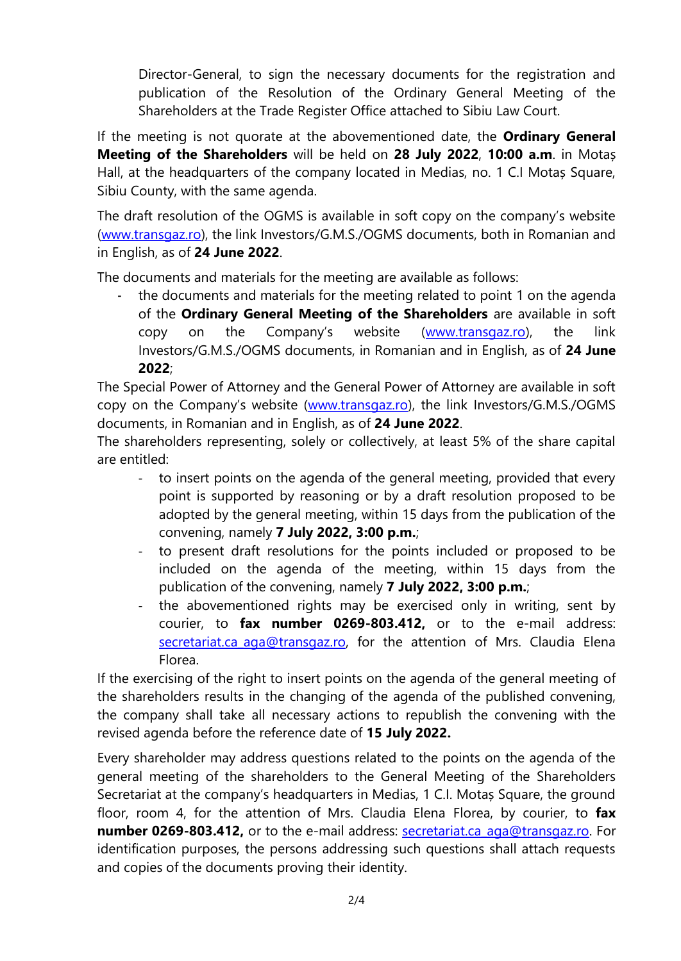Director-General, to sign the necessary documents for the registration and publication of the Resolution of the Ordinary General Meeting of the Shareholders at the Trade Register Office attached to Sibiu Law Court.

If the meeting is not quorate at the abovementioned date, the **Ordinary General Meeting of the Shareholders** will be held on **28 July 2022**, **10:00 a.m**. in Motaș Hall, at the headquarters of the company located in Medias, no. 1 C.I Motaș Square, Sibiu County, with the same agenda.

The draft resolution of the OGMS is available in soft copy on the company's website [\(www.transgaz.ro\)](http://www.transgaz.ro/), the link Investors/G.M.S./OGMS documents, both in Romanian and in English, as of **24 June 2022**.

The documents and materials for the meeting are available as follows:

the documents and materials for the meeting related to point 1 on the agenda of the **Ordinary General Meeting of the Shareholders** are available in soft copy on the Company's website ([www.transgaz.ro\)](http://www.transgaz.ro/), the link Investors/G.M.S./OGMS documents, in Romanian and in English, as of **24 June 2022**;

The Special Power of Attorney and the General Power of Attorney are available in soft copy on the Company's website ([www.transgaz.ro\)](http://www.transgaz.ro/), the link Investors/G.M.S./OGMS documents, in Romanian and in English, as of **24 June 2022**.

The shareholders representing, solely or collectively, at least 5% of the share capital are entitled:

- to insert points on the agenda of the general meeting, provided that every point is supported by reasoning or by a draft resolution proposed to be adopted by the general meeting, within 15 days from the publication of the convening, namely **7 July 2022, 3:00 p.m.**;
- to present draft resolutions for the points included or proposed to be included on the agenda of the meeting, within 15 days from the publication of the convening, namely **7 July 2022, 3:00 p.m.**;
- the abovementioned rights may be exercised only in writing, sent by courier, to **fax number 0269-803.412,** or to the e-mail address: secretariat.ca aga@transgaz.ro, for the attention of Mrs. Claudia Elena Florea.

If the exercising of the right to insert points on the agenda of the general meeting of the shareholders results in the changing of the agenda of the published convening, the company shall take all necessary actions to republish the convening with the revised agenda before the reference date of **15 July 2022.**

Every shareholder may address questions related to the points on the agenda of the general meeting of the shareholders to the General Meeting of the Shareholders Secretariat at the company's headquarters in Medias, 1 C.I. Motas Square, the ground floor, room 4, for the attention of Mrs. Claudia Elena Florea, by courier, to **fax number 0269-803.412,** or to the e-mail address: [secretariat.ca\\_aga@transgaz.ro.](mailto:secretariat.ca_aga@transgaz.ro) For identification purposes, the persons addressing such questions shall attach requests and copies of the documents proving their identity.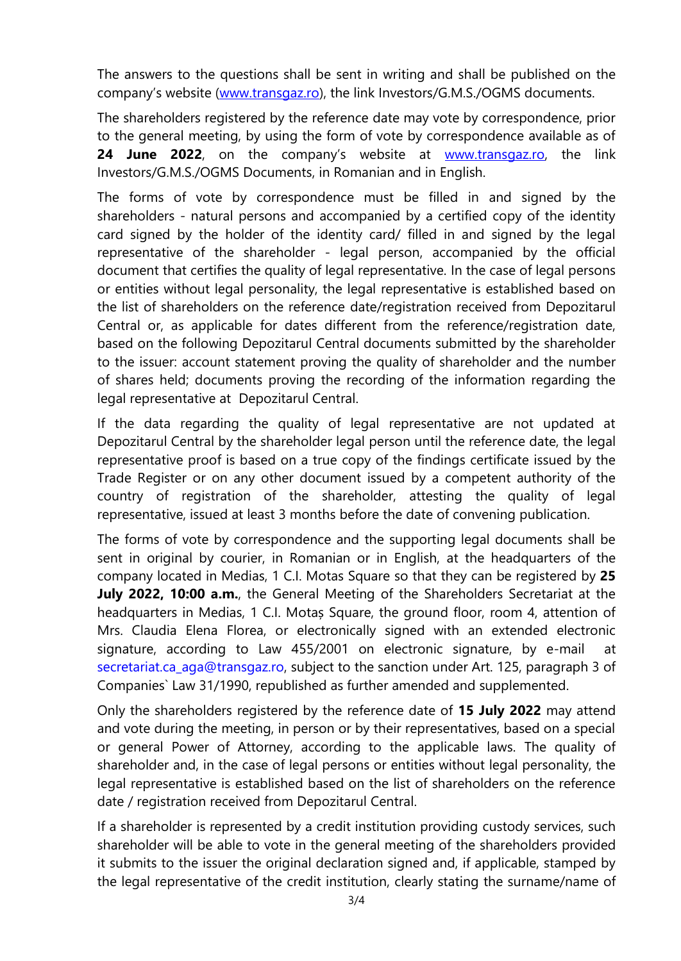The answers to the questions shall be sent in writing and shall be published on the company's website ([www.transgaz.ro\)](http://www.transgaz.ro/), the link Investors/G.M.S./OGMS documents.

The shareholders registered by the reference date may vote by correspondence, prior to the general meeting, by using the form of vote by correspondence available as of **24 June 2022**, on the company's website at [www.transgaz.ro,](http://www.transgaz.ro/) the link Investors/G.M.S./OGMS Documents, in Romanian and in English.

The forms of vote by correspondence must be filled in and signed by the shareholders - natural persons and accompanied by a certified copy of the identity card signed by the holder of the identity card/ filled in and signed by the legal representative of the shareholder - legal person, accompanied by the official document that certifies the quality of legal representative. In the case of legal persons or entities without legal personality, the legal representative is established based on the list of shareholders on the reference date/registration received from Depozitarul Central or, as applicable for dates different from the reference/registration date, based on the following Depozitarul Central documents submitted by the shareholder to the issuer: account statement proving the quality of shareholder and the number of shares held; documents proving the recording of the information regarding the legal representative at Depozitarul Central.

If the data regarding the quality of legal representative are not updated at Depozitarul Central by the shareholder legal person until the reference date, the legal representative proof is based on a true copy of the findings certificate issued by the Trade Register or on any other document issued by a competent authority of the country of registration of the shareholder, attesting the quality of legal representative, issued at least 3 months before the date of convening publication.

The forms of vote by correspondence and the supporting legal documents shall be sent in original by courier, in Romanian or in English, at the headquarters of the company located in Medias, 1 C.I. Motas Square so that they can be registered by **25 July 2022, 10:00 a.m.**, the General Meeting of the Shareholders Secretariat at the headquarters in Medias, 1 C.I. Motaș Square, the ground floor, room 4, attention of Mrs. Claudia Elena Florea, or electronically signed with an extended electronic signature, according to Law 455/2001 on electronic signature, by e-mail at [secretariat.ca\\_aga@transgaz.ro,](mailto:claudia.szasz@transgaz.ro) subject to the sanction under Art. 125, paragraph 3 of Companies` Law 31/1990, republished as further amended and supplemented.

Only the shareholders registered by the reference date of **15 July 2022** may attend and vote during the meeting, in person or by their representatives, based on a special or general Power of Attorney, according to the applicable laws. The quality of shareholder and, in the case of legal persons or entities without legal personality, the legal representative is established based on the list of shareholders on the reference date / registration received from Depozitarul Central.

If a shareholder is represented by a credit institution providing custody services, such shareholder will be able to vote in the general meeting of the shareholders provided it submits to the issuer the original declaration signed and, if applicable, stamped by the legal representative of the credit institution, clearly stating the surname/name of